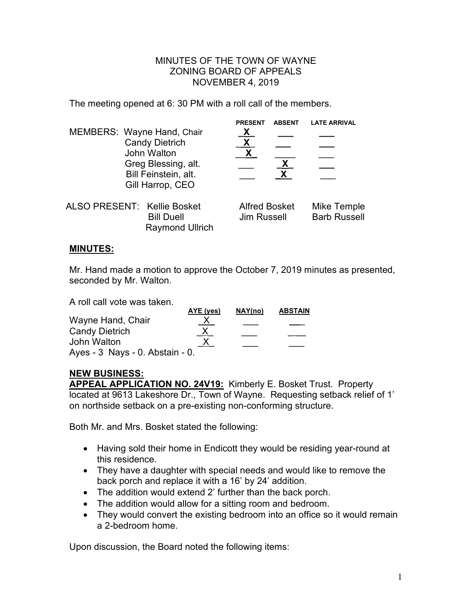## MINUTES OF THE TOWN OF WAYNE ZONING BOARD OF APPEALS NOVEMBER 4, 2019

The meeting opened at 6: 30 PM with a roll call of the members.

| MEMBERS: Wayne Hand, Chair<br><b>Candy Dietrich</b><br>John Walton<br>Greg Blessing, alt.<br>Bill Feinstein, alt.<br>Gill Harrop, CEO | <b>PRESENT</b><br>X                        | <b>ABSENT</b><br>X. | <b>LATE ARRIVAL</b>                |  |
|---------------------------------------------------------------------------------------------------------------------------------------|--------------------------------------------|---------------------|------------------------------------|--|
| <b>ALSO PRESENT: Kellie Bosket</b><br><b>Bill Duell</b><br><b>Raymond Ullrich</b>                                                     | <b>Alfred Bosket</b><br><b>Jim Russell</b> |                     | Mike Temple<br><b>Barb Russell</b> |  |

## **MINUTES:**

Mr. Hand made a motion to approve the October 7, 2019 minutes as presented, seconded by Mr. Walton.

A roll call vote was taken.

|                                 | AYE (yes) | NAY(no) | <b>ABSTAIN</b> |
|---------------------------------|-----------|---------|----------------|
| Wayne Hand, Chair               | <u>X</u>  |         |                |
| <b>Candy Dietrich</b>           | х         |         |                |
| John Walton                     |           |         |                |
| Ayes - 3 Nays - 0. Abstain - 0. |           |         |                |

## **NEW BUSINESS:**

**APPEAL APPLICATION NO. 24V19:** Kimberly E. Bosket Trust. Property located at 9613 Lakeshore Dr., Town of Wayne. Requesting setback relief of 1' on northside setback on a pre-existing non-conforming structure.

Both Mr. and Mrs. Bosket stated the following:

- Having sold their home in Endicott they would be residing year-round at this residence.
- They have a daughter with special needs and would like to remove the back porch and replace it with a 16' by 24' addition.
- The addition would extend 2' further than the back porch.
- The addition would allow for a sitting room and bedroom.
- They would convert the existing bedroom into an office so it would remain a 2-bedroom home.

Upon discussion, the Board noted the following items: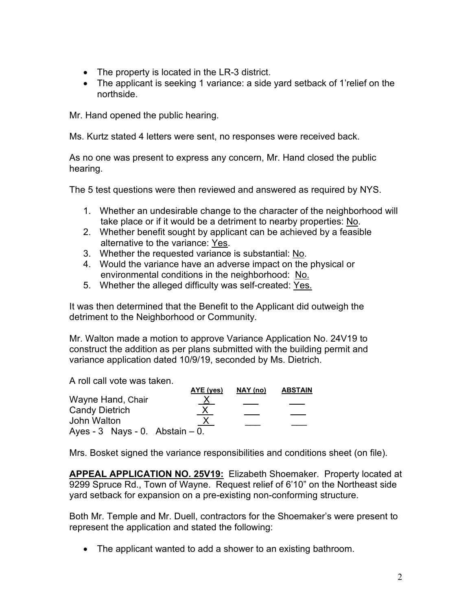- The property is located in the LR-3 district.
- The applicant is seeking 1 variance: a side yard setback of 1'relief on the northside.

Mr. Hand opened the public hearing.

Ms. Kurtz stated 4 letters were sent, no responses were received back.

As no one was present to express any concern, Mr. Hand closed the public hearing.

The 5 test questions were then reviewed and answered as required by NYS.

- 1. Whether an undesirable change to the character of the neighborhood will take place or if it would be a detriment to nearby properties: No.
- 2. Whether benefit sought by applicant can be achieved by a feasible alternative to the variance: Yes.
- 3. Whether the requested variance is substantial: No.
- 4. Would the variance have an adverse impact on the physical or environmental conditions in the neighborhood: No.
- 5. Whether the alleged difficulty was self-created: Yes.

It was then determined that the Benefit to the Applicant did outweigh the detriment to the Neighborhood or Community.

Mr. Walton made a motion to approve Variance Application No. 24V19 to construct the addition as per plans submitted with the building permit and variance application dated 10/9/19, seconded by Ms. Dietrich.

A roll call vote was taken.

|                                     | AYE (yes)  | NAY (no) | <b>ABSTAIN</b> |
|-------------------------------------|------------|----------|----------------|
| Wayne Hand, Chair                   | <u>_X_</u> |          |                |
| <b>Candy Dietrich</b>               |            |          |                |
| John Walton                         |            |          |                |
| Ayes - $3$ Nays - 0. Abstain $-0$ . |            |          |                |

Mrs. Bosket signed the variance responsibilities and conditions sheet (on file).

**APPEAL APPLICATION NO. 25V19:** Elizabeth Shoemaker. Property located at 9299 Spruce Rd., Town of Wayne. Request relief of 6'10" on the Northeast side yard setback for expansion on a pre-existing non-conforming structure.

Both Mr. Temple and Mr. Duell, contractors for the Shoemaker's were present to represent the application and stated the following:

• The applicant wanted to add a shower to an existing bathroom.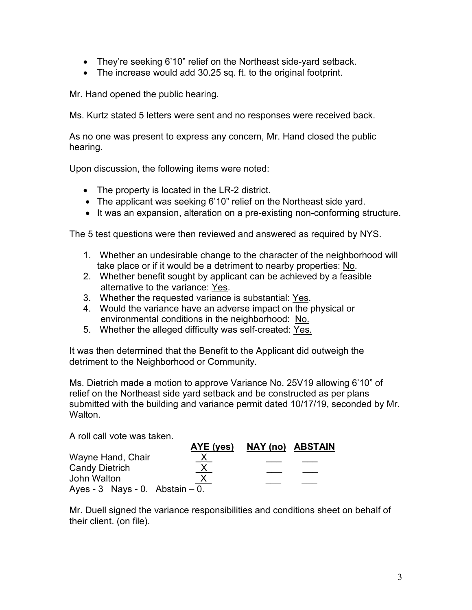- They're seeking 6'10" relief on the Northeast side-yard setback.
- The increase would add 30.25 sq. ft. to the original footprint.

Mr. Hand opened the public hearing.

Ms. Kurtz stated 5 letters were sent and no responses were received back.

As no one was present to express any concern, Mr. Hand closed the public hearing.

Upon discussion, the following items were noted:

- The property is located in the LR-2 district.
- The applicant was seeking 6'10" relief on the Northeast side yard.
- It was an expansion, alteration on a pre-existing non-conforming structure.

The 5 test questions were then reviewed and answered as required by NYS.

- 1. Whether an undesirable change to the character of the neighborhood will take place or if it would be a detriment to nearby properties: No.
- 2. Whether benefit sought by applicant can be achieved by a feasible alternative to the variance: Yes.
- 3. Whether the requested variance is substantial: Yes.
- 4. Would the variance have an adverse impact on the physical or environmental conditions in the neighborhood: No.
- 5. Whether the alleged difficulty was self-created: Yes.

It was then determined that the Benefit to the Applicant did outweigh the detriment to the Neighborhood or Community.

Ms. Dietrich made a motion to approve Variance No. 25V19 allowing 6'10" of relief on the Northeast side yard setback and be constructed as per plans submitted with the building and variance permit dated 10/17/19, seconded by Mr. Walton.

A roll call vote was taken.

| n ion can volu was lanch.           |           |                  |  |
|-------------------------------------|-----------|------------------|--|
|                                     | AYE (yes) | NAY (no) ABSTAIN |  |
| Wayne Hand, Chair                   | <u>X</u>  |                  |  |
| <b>Candy Dietrich</b>               | <u>X</u>  |                  |  |
| John Walton                         |           |                  |  |
| Ayes - $3$ Nays - 0. Abstain $-0$ . |           |                  |  |

Mr. Duell signed the variance responsibilities and conditions sheet on behalf of their client. (on file).